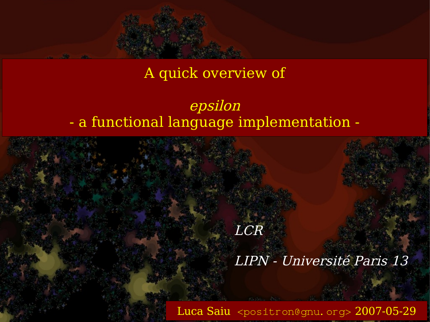#### A quick overview of

#### epsilon - a functional language implementation -

# Luca Saiu [<positron@gnu.org>](mailto:positron@gnu.org) 2007-05-29 LCR LIPN - Université Paris 13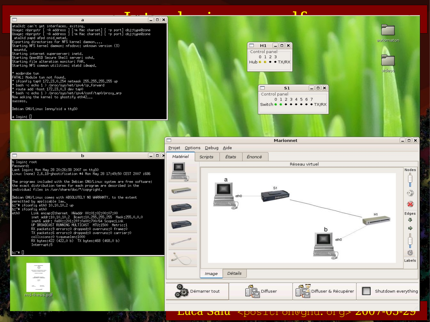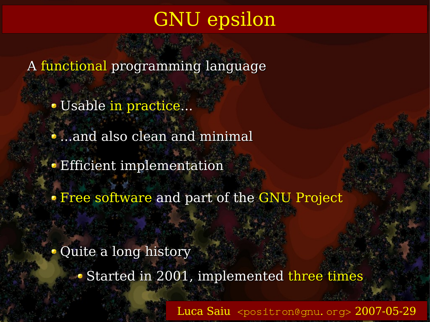# GNU epsilon

A functional programming language

Usable in practice...

 $\bullet$  ...and also clean and minimal

**Efficient implementation** 

Free software and part of the GNU Project

Quite a long history

• Started in 2001, implemented three times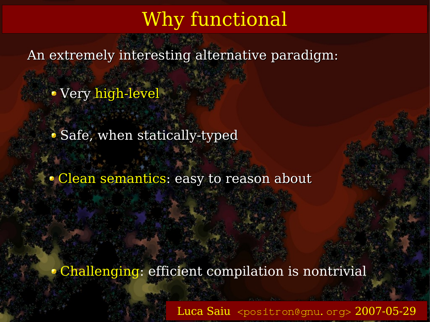## Why functional

An extremely interesting alternative paradigm:

Very high-level

• Safe, when statically-typed

Clean semantics: easy to reason about

Challenging: efficient compilation is nontrivial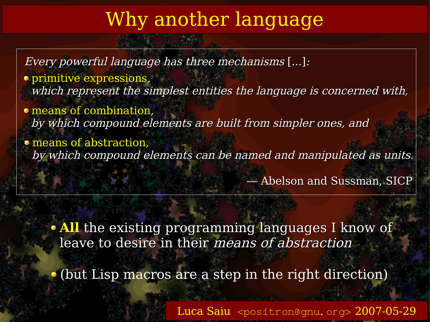## Why another language

Every powerful language has three mechanisms [...]:

primitive expressions, which represent the simplest entities the language is concerned with,

means of combination, by which compound elements are built from simpler ones, and

means of abstraction, by which compound elements can be named and manipulated as units.

— Abelson and Sussman, SICP

**All** the existing programming languages I know of leave to desire in their means of abstraction

(but Lisp macros are a step in the right direction)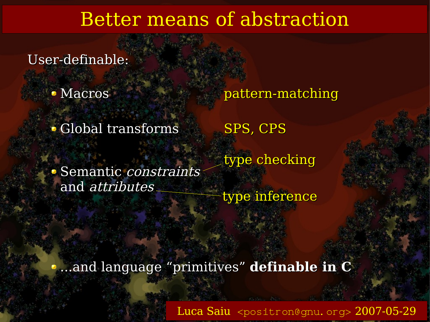### Better means of abstraction

User-definable:

• Macros

• Global transforms SPS, CPS

Semantic constraints and attributes

pattern-matching

type checking

type inference

...and language "primitives" **definable in C**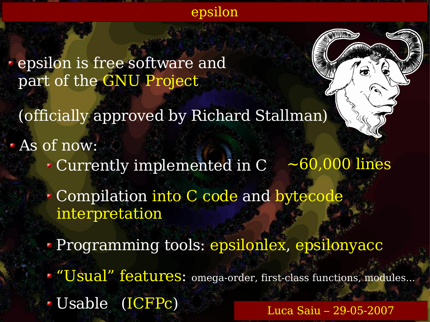

epsilon is free software and part of the GNU Project

(officially approved by Richard Stallman)

As of now:

Currently implemented in  $C \sim 60,000$  lines

Compilation into C code and bytecode interpretation

• Programming tools: epsilonlex, epsilonyacc

**"Usual" features:** omega-order, first-class functions, modules...

Usable (ICFPc)

Luca Saiu – 29-05-2007

Ö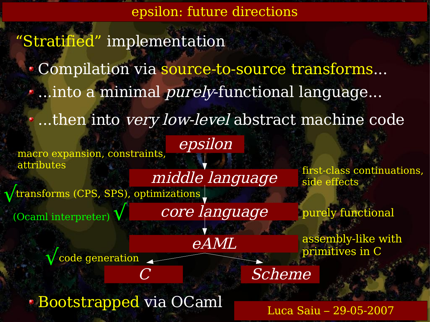epsilon: future directions

"Stratified" implementation

Compilation via source-to-source transforms...

...into a minimal *purely*-functional language...

epsilon

..then into *very low-level* abstract machine code

macro expansion, constraints, attributes

√code generation

middle language transforms (CPS, SPS), optimizations  $\sqrt{2}$ 

(Ocaml interpreter)√

core language

eAML

first-class continuations, side effects

purely functional

assembly-like with primitives in C

Scheme

Bootstrapped via OCaml

Luca Saiu – 29-05-2007